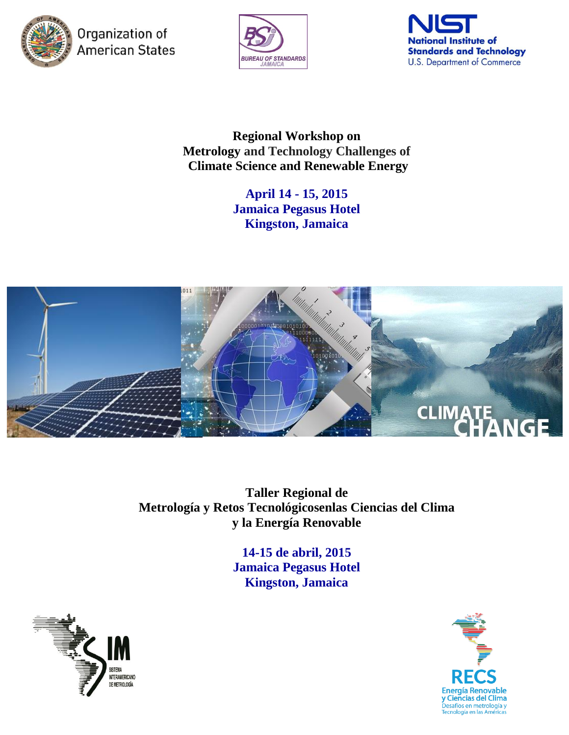

Organization of **American States** 





**Regional Workshop on Metrology and Technology Challenges of Climate Science and Renewable Energy**

> **April 14 - 15, 2015 Jamaica Pegasus Hotel Kingston, Jamaica**



**Taller Regional de Metrología y Retos Tecnológicosenlas Ciencias del Clima y la Energía Renovable**

> **14-15 de abril, 2015 Jamaica Pegasus Hotel Kingston, Jamaica**



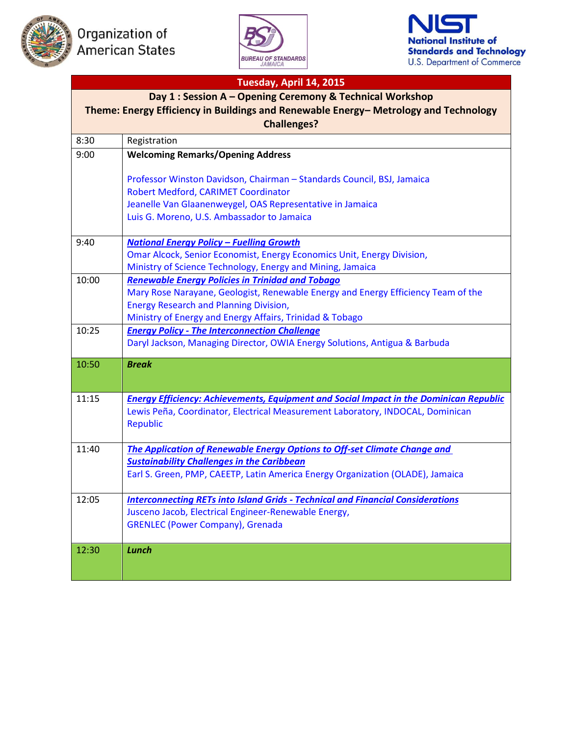





## **Tuesday, April 14, 2015 Day 1 : Session A – Opening Ceremony & Technical Workshop Theme: Energy Efficiency in Buildings and Renewable Energy– Metrology and Technology Challenges?** 8:30 Registration 9:00 **Welcoming Remarks/Opening Address** Professor Winston Davidson, Chairman – Standards Council, BSJ, Jamaica Robert Medford, CARIMET Coordinator Jeanelle Van Glaanenweygel, OAS Representative in Jamaica Luis G. Moreno, U.S. Ambassador to Jamaica 9:40 *[National Energy Policy](http://www.nist.gov/iaao/upload/OmarAlcock.pdf) – Fuelling Growth* Omar Alcock, Senior Economist, Energy Economics Unit, Energy Division, Ministry of Science Technology, Energy and Mining, Jamaica 10:00 *[Renewable Energy Policies in Trinidad and Tobago](http://www.nist.gov/iaao/upload/MaryRose.pdf)* Mary Rose Narayane, Geologist, Renewable Energy and Energy Efficiency Team of the Energy Research and Planning Division, Ministry of Energy and Energy Affairs, Trinidad & Tobago 10:25 *Energy Policy - [The Interconnection Challenge](http://www.nist.gov/iaao/upload/DarylJackson.pdf)* Daryl Jackson, Managing Director, OWIA Energy Solutions, Antigua & Barbuda 10:50 *Break* 11:15 *[Energy Efficiency: Achievements, Equipment and Social Impact in the Dominican Republic](http://www.nist.gov/iaao/upload/LewisPena.pdf)* Lewis Peña, Coordinator, Electrical Measurement Laboratory, INDOCAL, Dominican Republic 11:40 *[The Application of Renewable Energy Options to Off-set Climate Change and](http://www.nist.gov/iaao/upload/EarlGreen.pdf)  [Sustainability Challenges in the Caribbean](http://www.nist.gov/iaao/upload/EarlGreen.pdf)* Earl S. Green, PMP, CAEETP, Latin America Energy Organization (OLADE), Jamaica 12:05 *Interconnecting RETs into Island Grids - [Technical and Financial Considerations](http://www.nist.gov/iaao/upload/JuscenoJacob.pdf)* Jusceno Jacob, Electrical Engineer-Renewable Energy, GRENLEC (Power Company), Grenada 12:30 *Lunch*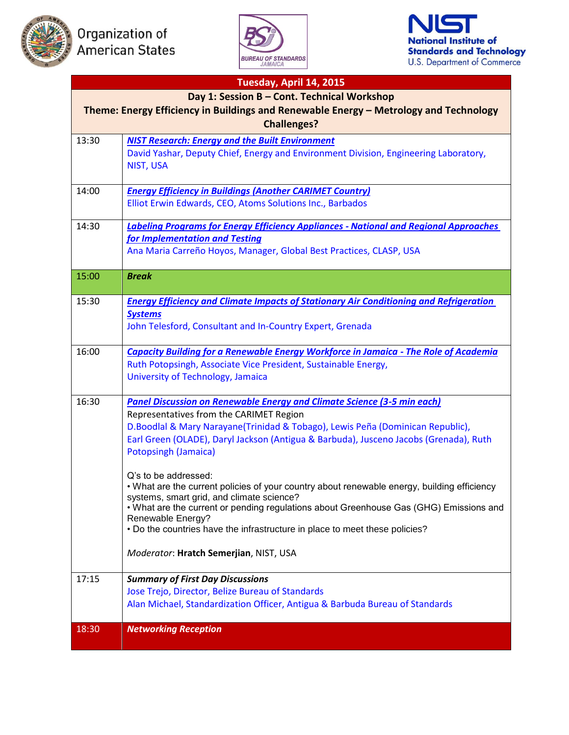





| Tuesday, April 14, 2015                                                                                                              |                                                                                                                                                                                                                                                                                                                                                                                                                                                                                                                                                                                                                                                                                                                                          |  |
|--------------------------------------------------------------------------------------------------------------------------------------|------------------------------------------------------------------------------------------------------------------------------------------------------------------------------------------------------------------------------------------------------------------------------------------------------------------------------------------------------------------------------------------------------------------------------------------------------------------------------------------------------------------------------------------------------------------------------------------------------------------------------------------------------------------------------------------------------------------------------------------|--|
| Day 1: Session B - Cont. Technical Workshop<br>Theme: Energy Efficiency in Buildings and Renewable Energy - Metrology and Technology |                                                                                                                                                                                                                                                                                                                                                                                                                                                                                                                                                                                                                                                                                                                                          |  |
| <b>Challenges?</b>                                                                                                                   |                                                                                                                                                                                                                                                                                                                                                                                                                                                                                                                                                                                                                                                                                                                                          |  |
| 13:30                                                                                                                                | <b>NIST Research: Energy and the Built Environment</b><br>David Yashar, Deputy Chief, Energy and Environment Division, Engineering Laboratory,<br><b>NIST, USA</b>                                                                                                                                                                                                                                                                                                                                                                                                                                                                                                                                                                       |  |
| 14:00                                                                                                                                | <b>Energy Efficiency in Buildings (Another CARIMET Country)</b><br>Elliot Erwin Edwards, CEO, Atoms Solutions Inc., Barbados                                                                                                                                                                                                                                                                                                                                                                                                                                                                                                                                                                                                             |  |
| 14:30                                                                                                                                | <b>Labeling Programs for Energy Efficiency Appliances - National and Regional Approaches</b><br>for Implementation and Testing<br>Ana Maria Carreño Hoyos, Manager, Global Best Practices, CLASP, USA                                                                                                                                                                                                                                                                                                                                                                                                                                                                                                                                    |  |
| 15:00                                                                                                                                | <b>Break</b>                                                                                                                                                                                                                                                                                                                                                                                                                                                                                                                                                                                                                                                                                                                             |  |
| 15:30                                                                                                                                | <b>Energy Efficiency and Climate Impacts of Stationary Air Conditioning and Refrigeration</b><br><b>Systems</b><br>John Telesford, Consultant and In-Country Expert, Grenada                                                                                                                                                                                                                                                                                                                                                                                                                                                                                                                                                             |  |
| 16:00                                                                                                                                | <b>Capacity Building for a Renewable Energy Workforce in Jamaica - The Role of Academia</b><br>Ruth Potopsingh, Associate Vice President, Sustainable Energy,<br>University of Technology, Jamaica                                                                                                                                                                                                                                                                                                                                                                                                                                                                                                                                       |  |
| 16:30                                                                                                                                | <b>Panel Discussion on Renewable Energy and Climate Science (3-5 min each)</b><br>Representatives from the CARIMET Region<br>D.Boodlal & Mary Narayane(Trinidad & Tobago), Lewis Peña (Dominican Republic),<br>Earl Green (OLADE), Daryl Jackson (Antigua & Barbuda), Jusceno Jacobs (Grenada), Ruth<br>Potopsingh (Jamaica)<br>Q's to be addressed:<br>. What are the current policies of your country about renewable energy, building efficiency<br>systems, smart grid, and climate science?<br>• What are the current or pending regulations about Greenhouse Gas (GHG) Emissions and<br>Renewable Energy?<br>. Do the countries have the infrastructure in place to meet these policies?<br>Moderator: Hratch Semerjian, NIST, USA |  |
| 17:15                                                                                                                                | <b>Summary of First Day Discussions</b><br>Jose Trejo, Director, Belize Bureau of Standards<br>Alan Michael, Standardization Officer, Antigua & Barbuda Bureau of Standards                                                                                                                                                                                                                                                                                                                                                                                                                                                                                                                                                              |  |
| 18:30                                                                                                                                | <b>Networking Reception</b>                                                                                                                                                                                                                                                                                                                                                                                                                                                                                                                                                                                                                                                                                                              |  |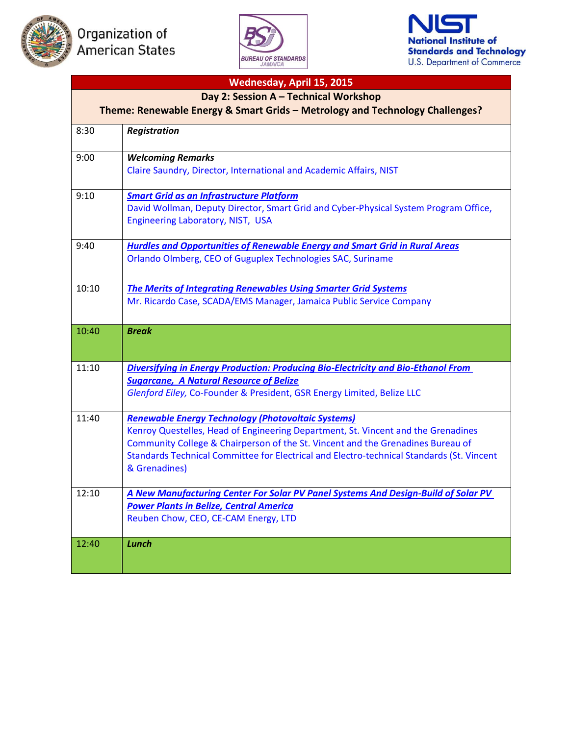





| Wednesday, April 15, 2015                                                    |                                                                                                                                                                              |  |
|------------------------------------------------------------------------------|------------------------------------------------------------------------------------------------------------------------------------------------------------------------------|--|
| Day 2: Session A - Technical Workshop                                        |                                                                                                                                                                              |  |
| Theme: Renewable Energy & Smart Grids - Metrology and Technology Challenges? |                                                                                                                                                                              |  |
| 8:30                                                                         | <b>Registration</b>                                                                                                                                                          |  |
| 9:00                                                                         | <b>Welcoming Remarks</b><br>Claire Saundry, Director, International and Academic Affairs, NIST                                                                               |  |
| 9:10                                                                         | <b>Smart Grid as an Infrastructure Platform</b>                                                                                                                              |  |
|                                                                              | David Wollman, Deputy Director, Smart Grid and Cyber-Physical System Program Office,<br>Engineering Laboratory, NIST, USA                                                    |  |
| 9:40                                                                         | <b>Hurdles and Opportunities of Renewable Energy and Smart Grid in Rural Areas</b>                                                                                           |  |
|                                                                              | Orlando Olmberg, CEO of Guguplex Technologies SAC, Suriname                                                                                                                  |  |
| 10:10                                                                        | <b>The Merits of Integrating Renewables Using Smarter Grid Systems</b>                                                                                                       |  |
|                                                                              | Mr. Ricardo Case, SCADA/EMS Manager, Jamaica Public Service Company                                                                                                          |  |
| 10:40                                                                        | <b>Break</b>                                                                                                                                                                 |  |
| 11:10                                                                        |                                                                                                                                                                              |  |
|                                                                              | <b>Diversifying in Energy Production: Producing Bio-Electricity and Bio-Ethanol From</b><br><b>Sugarcane, A Natural Resource of Belize</b>                                   |  |
|                                                                              | Glenford Eiley, Co-Founder & President, GSR Energy Limited, Belize LLC                                                                                                       |  |
| 11:40                                                                        | <b>Renewable Energy Technology (Photovoltaic Systems)</b>                                                                                                                    |  |
|                                                                              | Kenroy Questelles, Head of Engineering Department, St. Vincent and the Grenadines                                                                                            |  |
|                                                                              | Community College & Chairperson of the St. Vincent and the Grenadines Bureau of<br>Standards Technical Committee for Electrical and Electro-technical Standards (St. Vincent |  |
|                                                                              | & Grenadines)                                                                                                                                                                |  |
| 12:10                                                                        | A New Manufacturing Center For Solar PV Panel Systems And Design-Build of Solar PV                                                                                           |  |
|                                                                              | <b>Power Plants in Belize, Central America</b>                                                                                                                               |  |
|                                                                              | Reuben Chow, CEO, CE-CAM Energy, LTD                                                                                                                                         |  |
| 12:40                                                                        | <b>Lunch</b>                                                                                                                                                                 |  |
|                                                                              |                                                                                                                                                                              |  |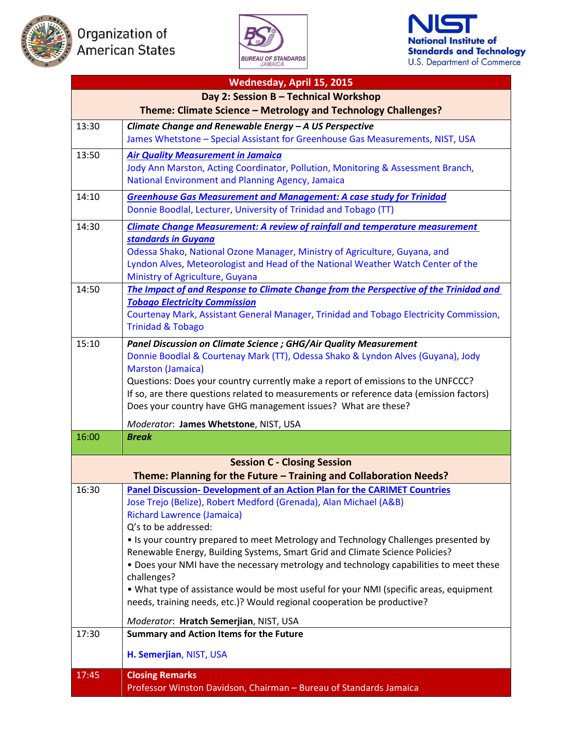





| Wednesday, April 15, 2015                                     |                                                                                                                                                                     |  |
|---------------------------------------------------------------|---------------------------------------------------------------------------------------------------------------------------------------------------------------------|--|
| Day 2: Session B - Technical Workshop                         |                                                                                                                                                                     |  |
| Theme: Climate Science - Metrology and Technology Challenges? |                                                                                                                                                                     |  |
| 13:30                                                         | Climate Change and Renewable Energy - A US Perspective                                                                                                              |  |
|                                                               | James Whetstone - Special Assistant for Greenhouse Gas Measurements, NIST, USA                                                                                      |  |
| 13:50                                                         | <b>Air Quality Measurement in Jamaica</b>                                                                                                                           |  |
|                                                               | Jody Ann Marston, Acting Coordinator, Pollution, Monitoring & Assessment Branch,                                                                                    |  |
|                                                               | National Environment and Planning Agency, Jamaica                                                                                                                   |  |
| 14:10                                                         | <b>Greenhouse Gas Measurement and Management: A case study for Trinidad</b>                                                                                         |  |
|                                                               | Donnie Boodlal, Lecturer, University of Trinidad and Tobago (TT)                                                                                                    |  |
| 14:30                                                         | <b>Climate Change Measurement: A review of rainfall and temperature measurement</b>                                                                                 |  |
|                                                               | standards in Guyana                                                                                                                                                 |  |
|                                                               | Odessa Shako, National Ozone Manager, Ministry of Agriculture, Guyana, and                                                                                          |  |
|                                                               | Lyndon Alves, Meteorologist and Head of the National Weather Watch Center of the                                                                                    |  |
| 14:50                                                         | Ministry of Agriculture, Guyana<br>The Impact of and Response to Climate Change from the Perspective of the Trinidad and                                            |  |
|                                                               | <b>Tobago Electricity Commission</b>                                                                                                                                |  |
|                                                               | Courtenay Mark, Assistant General Manager, Trinidad and Tobago Electricity Commission,                                                                              |  |
|                                                               | <b>Trinidad &amp; Tobago</b>                                                                                                                                        |  |
| 15:10                                                         | Panel Discussion on Climate Science ; GHG/Air Quality Measurement                                                                                                   |  |
|                                                               | Donnie Boodlal & Courtenay Mark (TT), Odessa Shako & Lyndon Alves (Guyana), Jody                                                                                    |  |
|                                                               | <b>Marston (Jamaica)</b>                                                                                                                                            |  |
|                                                               | Questions: Does your country currently make a report of emissions to the UNFCCC?                                                                                    |  |
|                                                               | If so, are there questions related to measurements or reference data (emission factors)                                                                             |  |
|                                                               | Does your country have GHG management issues? What are these?                                                                                                       |  |
|                                                               | Moderator: James Whetstone, NIST, USA                                                                                                                               |  |
| 16:00                                                         | <b>Break</b>                                                                                                                                                        |  |
|                                                               | <b>Session C - Closing Session</b>                                                                                                                                  |  |
|                                                               | Theme: Planning for the Future - Training and Collaboration Needs?                                                                                                  |  |
| 16:30                                                         | Panel Discussion- Development of an Action Plan for the CARIMET Countries                                                                                           |  |
|                                                               | Jose Trejo (Belize), Robert Medford (Grenada), Alan Michael (A&B)                                                                                                   |  |
|                                                               | <b>Richard Lawrence (Jamaica)</b>                                                                                                                                   |  |
|                                                               | Q's to be addressed:                                                                                                                                                |  |
|                                                               | • Is your country prepared to meet Metrology and Technology Challenges presented by<br>Renewable Energy, Building Systems, Smart Grid and Climate Science Policies? |  |
|                                                               | . Does your NMI have the necessary metrology and technology capabilities to meet these                                                                              |  |
|                                                               | challenges?                                                                                                                                                         |  |
|                                                               | . What type of assistance would be most useful for your NMI (specific areas, equipment                                                                              |  |
|                                                               | needs, training needs, etc.)? Would regional cooperation be productive?                                                                                             |  |
|                                                               | Moderator: Hratch Semerjian, NIST, USA                                                                                                                              |  |
| 17:30                                                         | <b>Summary and Action Items for the Future</b>                                                                                                                      |  |
|                                                               |                                                                                                                                                                     |  |
|                                                               | H. Semerjian, NIST, USA                                                                                                                                             |  |
| 17:45                                                         | <b>Closing Remarks</b>                                                                                                                                              |  |
|                                                               | Professor Winston Davidson, Chairman - Bureau of Standards Jamaica                                                                                                  |  |